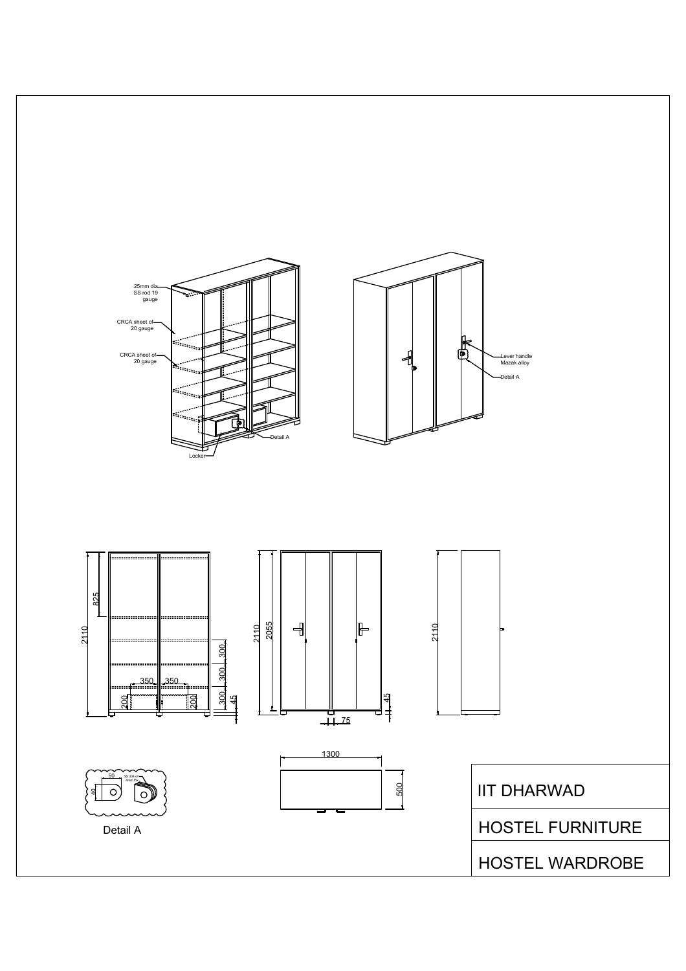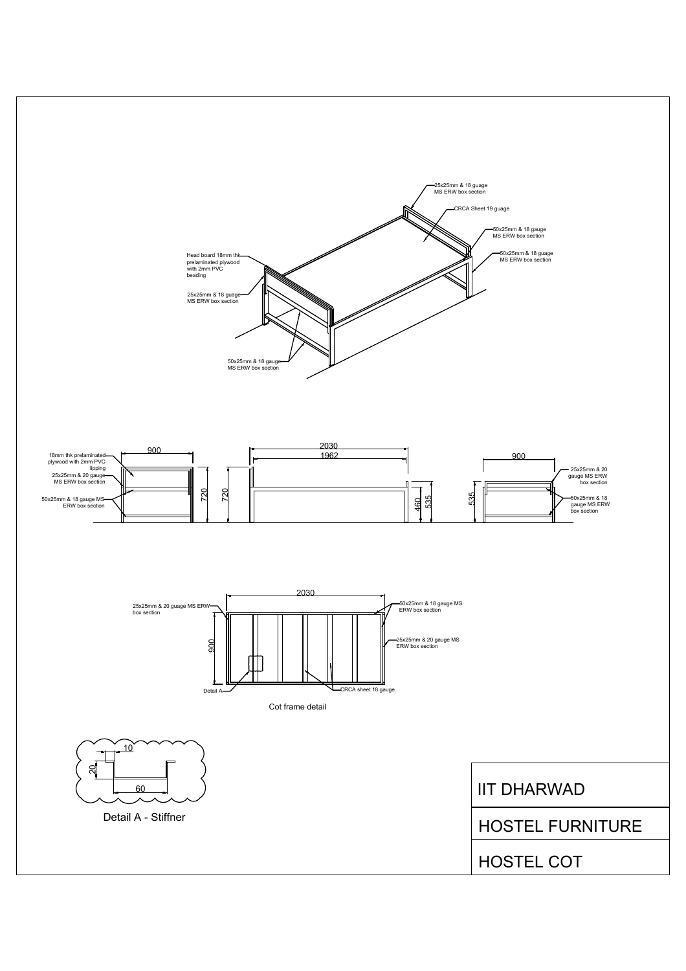